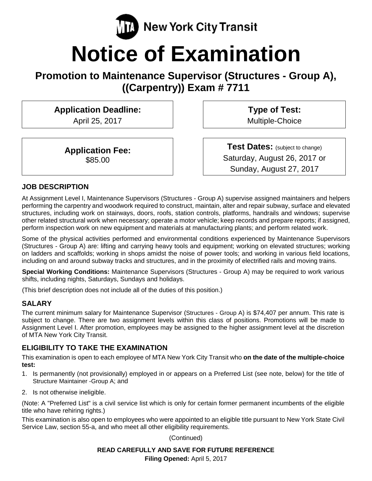

# **Notice of Examination**

**Promotion to Maintenance Supervisor (Structures - Group A), ((Carpentry)) Exam # 7711** 

# **Application Deadline:**

April 25, 2017

**Application Fee:**  \$85.00

**Type of Test:**  Multiple-Choice

**Test Dates:** (subject to change) Saturday, August 26, 2017 or Sunday, August 27, 2017

#### **JOB DESCRIPTION**

At Assignment Level I, Maintenance Supervisors (Structures - Group A) supervise assigned maintainers and helpers performing the carpentry and woodwork required to construct, maintain, alter and repair subway, surface and elevated structures, including work on stairways, doors, roofs, station controls, platforms, handrails and windows; supervise other related structural work when necessary; operate a motor vehicle; keep records and prepare reports; if assigned, perform inspection work on new equipment and materials at manufacturing plants; and perform related work.

Some of the physical activities performed and environmental conditions experienced by Maintenance Supervisors (Structures - Group A) are: lifting and carrying heavy tools and equipment; working on elevated structures; working on ladders and scaffolds; working in shops amidst the noise of power tools; and working in various field locations, including on and around subway tracks and structures, and in the proximity of electrified rails and moving trains.

**Special Working Conditions:** Maintenance Supervisors (Structures - Group A) may be required to work various shifts, including nights, Saturdays, Sundays and holidays.

(This brief description does not include all of the duties of this position.)

#### **SALARY**

The current minimum salary for Maintenance Supervisor (Structures - Group A) is \$74,407 per annum. This rate is subject to change. There are two assignment levels within this class of positions. Promotions will be made to Assignment Level I. After promotion, employees may be assigned to the higher assignment level at the discretion of MTA New York City Transit.

#### **ELIGIBILITY TO TAKE THE EXAMINATION**

This examination is open to each employee of MTA New York City Transit who **on the date of the multiple-choice test:** 

- 1. Is permanently (not provisionally) employed in or appears on a Preferred List (see note, below) for the title of Structure Maintainer -Group A; and
- 2. Is not otherwise ineligible.

(Note: A "Preferred List" is a civil service list which is only for certain former permanent incumbents of the eligible title who have rehiring rights.)

This examination is also open to employees who were appointed to an eligible title pursuant to New York State Civil Service Law, section 55-a, and who meet all other eligibility requirements.

(Continued)

# **READ CAREFULLY AND SAVE FOR FUTURE REFERENCE**

**Filing Opened:** April 5, 2017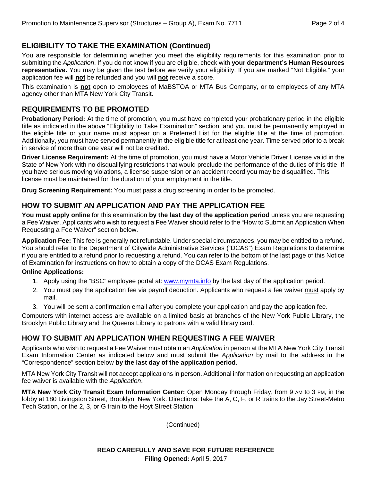# **ELIGIBILITY TO TAKE THE EXAMINATION (Continued)**

You are responsible for determining whether you meet the eligibility requirements for this examination prior to submitting the Application. If you do not know if you are eligible, check with **your department's Human Resources representative.** You may be given the test before we verify your eligibility. If you are marked "Not Eligible," your application fee will **not** be refunded and you will **not** receive a score.

This examination is **not** open to employees of MaBSTOA or MTA Bus Company, or to employees of any MTA agency other than MTA New York City Transit.

#### **REQUIREMENTS TO BE PROMOTED**

**Probationary Period:** At the time of promotion, you must have completed your probationary period in the eligible title as indicated in the above "Eligibility to Take Examination" section, and you must be permanently employed in the eligible title or your name must appear on a Preferred List for the eligible title at the time of promotion. Additionally, you must have served permanently in the eligible title for at least one year. Time served prior to a break in service of more than one year will not be credited.

**Driver License Requirement:** At the time of promotion, you must have a Motor Vehicle Driver License valid in the State of New York with no disqualifying restrictions that would preclude the performance of the duties of this title. If you have serious moving violations, a license suspension or an accident record you may be disqualified. This license must be maintained for the duration of your employment in the title.

**Drug Screening Requirement:** You must pass a drug screening in order to be promoted.

#### **HOW TO SUBMIT AN APPLICATION AND PAY THE APPLICATION FEE**

**You must apply online** for this examination **by the last day of the application period** unless you are requesting a Fee Waiver. Applicants who wish to request a Fee Waiver should refer to the "How to Submit an Application When Requesting a Fee Waiver" section below.

**Application Fee:** This fee is generally not refundable. Under special circumstances, you may be entitled to a refund. You should refer to the Department of Citywide Administrative Services ("DCAS") Exam Regulations to determine if you are entitled to a refund prior to requesting a refund. You can refer to the bottom of the last page of this Notice of Examination for instructions on how to obtain a copy of the DCAS Exam Regulations.

#### **Online Applications:**

- 1. Apply using the "BSC" employee portal at: www.mymta.info by the last day of the application period.
- 2. You must pay the application fee via payroll deduction. Applicants who request a fee waiver must apply by mail.
- 3. You will be sent a confirmation email after you complete your application and pay the application fee.

Computers with internet access are available on a limited basis at branches of the New York Public Library, the Brooklyn Public Library and the Queens Library to patrons with a valid library card.

#### **HOW TO SUBMIT AN APPLICATION WHEN REQUESTING A FEE WAIVER**

Applicants who wish to request a Fee Waiver must obtain an Application in person at the MTA New York City Transit Exam Information Center as indicated below and must submit the Application by mail to the address in the "Correspondence" section below **by the last day of the application period**.

MTA New York City Transit will not accept applications in person. Additional information on requesting an application fee waiver is available with the Application.

**MTA New York City Transit Exam Information Center:** Open Monday through Friday, from 9 AM to 3 PM, in the lobby at 180 Livingston Street, Brooklyn, New York. Directions: take the A, C, F, or R trains to the Jay Street-Metro Tech Station, or the 2, 3, or G train to the Hoyt Street Station.

(Continued)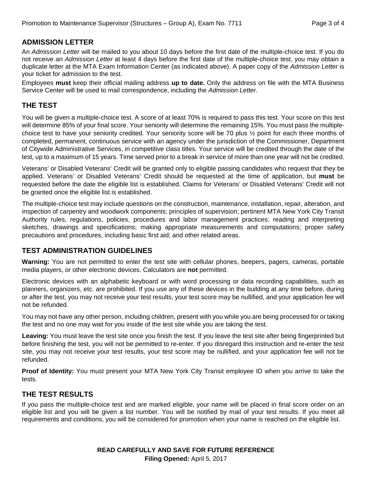#### **ADMISSION LETTER**

An Admission Letter will be mailed to you about 10 days before the first date of the multiple-choice test. If you do not receive an Admission Letter at least 4 days before the first date of the multiple-choice test, you may obtain a duplicate letter at the MTA Exam Information Center (as indicated above). A paper copy of the Admission Letter is your ticket for admission to the test.

Employees **must** keep their official mailing address **up to date.** Only the address on file with the MTA Business Service Center will be used to mail correspondence, including the Admission Letter.

#### **THE TEST**

You will be given a multiple-choice test. A score of at least 70% is required to pass this test. Your score on this test will determine 85% of your final score. Your seniority will determine the remaining 15%. You must pass the multiplechoice test to have your seniority credited. Your seniority score will be 70 plus ½ point for each three months of completed, permanent, continuous service with an agency under the jurisdiction of the Commissioner, Department of Citywide Administrative Services, in competitive class titles. Your service will be credited through the date of the test, up to a maximum of 15 years. Time served prior to a break in service of more than one year will not be credited.

Veterans' or Disabled Veterans' Credit will be granted only to eligible passing candidates who request that they be applied. Veterans' or Disabled Veterans' Credit should be requested at the time of application, but **must** be requested before the date the eligible list is established. Claims for Veterans' or Disabled Veterans' Credit will not be granted once the eligible list is established.

The multiple-choice test may include questions on the construction, maintenance, installation, repair, alteration, and inspection of carpentry and woodwork components; principles of supervision; pertinent MTA New York City Transit Authority rules, regulations, policies, procedures and labor management practices; reading and interpreting sketches, drawings and specifications; making appropriate measurements and computations; proper safety precautions and procedures, including basic first aid; and other related areas.

#### **TEST ADMINISTRATION GUIDELINES**

**Warning:** You are not permitted to enter the test site with cellular phones, beepers, pagers, cameras, portable media players, or other electronic devices. Calculators are **not** permitted.

Electronic devices with an alphabetic keyboard or with word processing or data recording capabilities, such as planners, organizers, etc. are prohibited. If you use any of these devices in the building at any time before, during or after the test, you may not receive your test results, your test score may be nullified, and your application fee will not be refunded.

You may not have any other person, including children, present with you while you are being processed for or taking the test and no one may wait for you inside of the test site while you are taking the test.

**Leaving:** You must leave the test site once you finish the test. If you leave the test site after being fingerprinted but before finishing the test, you will not be permitted to re-enter. If you disregard this instruction and re-enter the test site, you may not receive your test results, your test score may be nullified, and your application fee will not be refunded.

**Proof of Identity:** You must present your MTA New York City Transit employee ID when you arrive to take the tests.

## **THE TEST RESULTS**

If you pass the multiple-choice test and are marked eligible, your name will be placed in final score order on an eligible list and you will be given a list number. You will be notified by mail of your test results. If you meet all requirements and conditions, you will be considered for promotion when your name is reached on the eligible list.